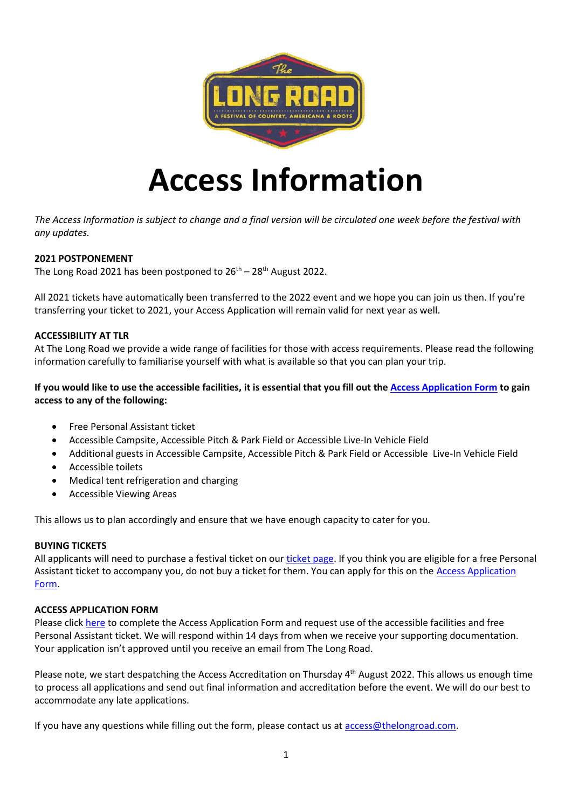

# **Access Information**

*The Access Information is subject to change and a final version will be circulated one week before the festival with any updates.*

# **2021 POSTPONEMENT**

The Long Road 2021 has been postponed to  $26<sup>th</sup> - 28<sup>th</sup>$  August 2022.

All 2021 tickets have automatically been transferred to the 2022 event and we hope you can join us then. If you're transferring your ticket to 2021, your Access Application will remain valid for next year as well.

#### **ACCESSIBILITY AT TLR**

At The Long Road we provide a wide range of facilities for those with access requirements. Please read the following information carefully to familiarise yourself with what is available so that you can plan your trip.

# **If you would like to use the accessible facilities, it is essential that you fill out th[e Access Application Form](https://docs.google.com/forms/d/e/1FAIpQLSewrcDrLXnUdjRyttyZqNcY_w2dg5gYZCveBxWF4tYt-t510w/viewform) to gain access to any of the following:**

- Free Personal Assistant ticket
- Accessible Campsite, Accessible Pitch & Park Field or Accessible Live-In Vehicle Field
- Additional guests in Accessible Campsite, Accessible Pitch & Park Field or Accessible Live-In Vehicle Field
- Accessible toilets
- Medical tent refrigeration and charging
- Accessible Viewing Areas

This allows us to plan accordingly and ensure that we have enough capacity to cater for you.

#### **BUYING TICKETS**

All applicants will need to purchase a festival ticket on our [ticket page.](https://www.thelongroad.com/tickets/) If you think you are eligible for a free Personal Assistant ticket to accompany you, do not buy a ticket for them. You can apply for this on the **Access Application** [Form.](https://docs.google.com/forms/d/e/1FAIpQLSewrcDrLXnUdjRyttyZqNcY_w2dg5gYZCveBxWF4tYt-t510w/viewform)

#### **ACCESS APPLICATION FORM**

Please click [here](https://docs.google.com/forms/d/e/1FAIpQLSewrcDrLXnUdjRyttyZqNcY_w2dg5gYZCveBxWF4tYt-t510w/viewform) to complete the Access Application Form and request use of the accessible facilities and free Personal Assistant ticket. We will respond within 14 days from when we receive your supporting documentation. Your application isn't approved until you receive an email from The Long Road.

Please note, we start despatching the Access Accreditation on Thursday 4<sup>th</sup> August 2022. This allows us enough time to process all applications and send out final information and accreditation before the event. We will do our best to accommodate any late applications.

If you have any questions while filling out the form, please contact us at [access@thelongroad.com.](mailto:access@thelongroad.com)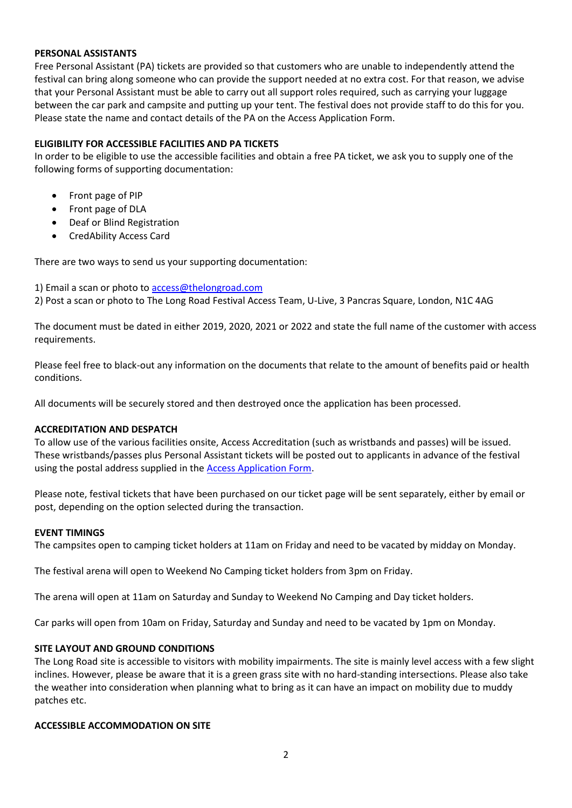### **PERSONAL ASSISTANTS**

Free Personal Assistant (PA) tickets are provided so that customers who are unable to independently attend the festival can bring along someone who can provide the support needed at no extra cost. For that reason, we advise that your Personal Assistant must be able to carry out all support roles required, such as carrying your luggage between the car park and campsite and putting up your tent. The festival does not provide staff to do this for you. Please state the name and contact details of the PA on the Access Application Form.

## **ELIGIBILITY FOR ACCESSIBLE FACILITIES AND PA TICKETS**

In order to be eligible to use the accessible facilities and obtain a free PA ticket, we ask you to supply one of the following forms of supporting documentation:

- Front page of PIP
- Front page of DLA
- Deaf or Blind Registration
- CredAbility Access Card

There are two ways to send us your supporting documentation:

1) Email a scan or photo to [access@thelongroad.com](mailto:access@thelongroad.com)

2) Post a scan or photo to The Long Road Festival Access Team, U-Live, 3 Pancras Square, London, N1C 4AG

The document must be dated in either 2019, 2020, 2021 or 2022 and state the full name of the customer with access requirements.

Please feel free to black-out any information on the documents that relate to the amount of benefits paid or health conditions.

All documents will be securely stored and then destroyed once the application has been processed.

#### **ACCREDITATION AND DESPATCH**

To allow use of the various facilities onsite, Access Accreditation (such as wristbands and passes) will be issued. These wristbands/passes plus Personal Assistant tickets will be posted out to applicants in advance of the festival using the postal address supplied in the [Access Application Form.](https://docs.google.com/forms/d/e/1FAIpQLSewrcDrLXnUdjRyttyZqNcY_w2dg5gYZCveBxWF4tYt-t510w/viewform)

Please note, festival tickets that have been purchased on our ticket page will be sent separately, either by email or post, depending on the option selected during the transaction.

#### **EVENT TIMINGS**

The campsites open to camping ticket holders at 11am on Friday and need to be vacated by midday on Monday.

The festival arena will open to Weekend No Camping ticket holders from 3pm on Friday.

The arena will open at 11am on Saturday and Sunday to Weekend No Camping and Day ticket holders.

Car parks will open from 10am on Friday, Saturday and Sunday and need to be vacated by 1pm on Monday.

## **SITE LAYOUT AND GROUND CONDITIONS**

The Long Road site is accessible to visitors with mobility impairments. The site is mainly level access with a few slight inclines. However, please be aware that it is a green grass site with no hard-standing intersections. Please also take the weather into consideration when planning what to bring as it can have an impact on mobility due to muddy patches etc.

#### **ACCESSIBLE ACCOMMODATION ON SITE**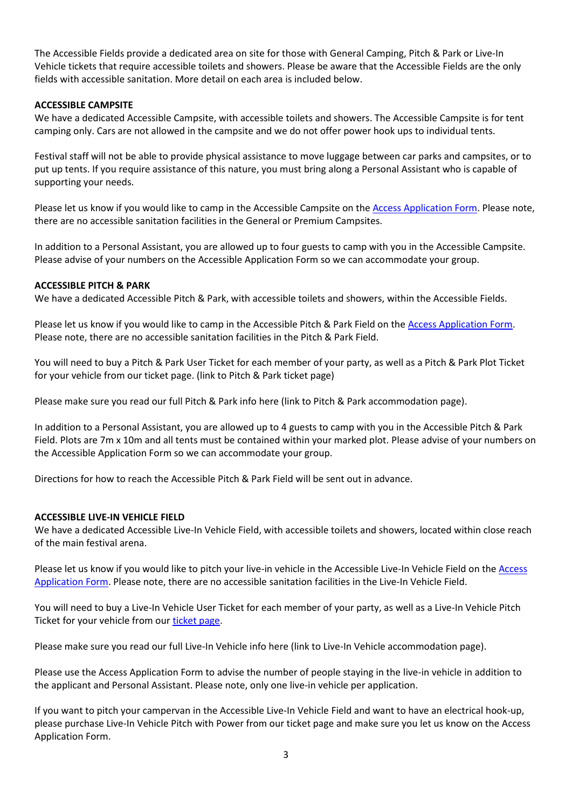The Accessible Fields provide a dedicated area on site for those with General Camping, Pitch & Park or Live-In Vehicle tickets that require accessible toilets and showers. Please be aware that the Accessible Fields are the only fields with accessible sanitation. More detail on each area is included below.

## **ACCESSIBLE CAMPSITE**

We have a dedicated Accessible Campsite, with accessible toilets and showers. The Accessible Campsite is for tent camping only. Cars are not allowed in the campsite and we do not offer power hook ups to individual tents.

Festival staff will not be able to provide physical assistance to move luggage between car parks and campsites, or to put up tents. If you require assistance of this nature, you must bring along a Personal Assistant who is capable of supporting your needs.

Please let us know if you would like to camp in the Accessible Campsite on the [Access Application Form.](https://docs.google.com/forms/d/e/1FAIpQLSewrcDrLXnUdjRyttyZqNcY_w2dg5gYZCveBxWF4tYt-t510w/viewform) Please note, there are no accessible sanitation facilities in the General or Premium Campsites.

In addition to a Personal Assistant, you are allowed up to four guests to camp with you in the Accessible Campsite. Please advise of your numbers on the Accessible Application Form so we can accommodate your group.

## **ACCESSIBLE PITCH & PARK**

We have a dedicated Accessible Pitch & Park, with accessible toilets and showers, within the Accessible Fields.

Please let us know if you would like to camp in the Accessible Pitch & Park Field on th[e Access Application Form.](https://docs.google.com/forms/d/e/1FAIpQLSewrcDrLXnUdjRyttyZqNcY_w2dg5gYZCveBxWF4tYt-t510w/viewform) Please note, there are no accessible sanitation facilities in the Pitch & Park Field.

You will need to buy a Pitch & Park User Ticket for each member of your party, as well as a Pitch & Park Plot Ticket for your vehicle from our ticket page. (link to Pitch & Park ticket page)

Please make sure you read our full Pitch & Park info here (link to Pitch & Park accommodation page).

In addition to a Personal Assistant, you are allowed up to 4 guests to camp with you in the Accessible Pitch & Park Field. Plots are 7m x 10m and all tents must be contained within your marked plot. Please advise of your numbers on the Accessible Application Form so we can accommodate your group.

Directions for how to reach the Accessible Pitch & Park Field will be sent out in advance.

#### **ACCESSIBLE LIVE-IN VEHICLE FIELD**

We have a dedicated Accessible Live-In Vehicle Field, with accessible toilets and showers, located within close reach of the main festival arena.

Please let us know if you would like to pitch your live-in vehicle in the Accessible Live-In Vehicle Field on the Access [Application Form.](https://docs.google.com/forms/d/e/1FAIpQLSewrcDrLXnUdjRyttyZqNcY_w2dg5gYZCveBxWF4tYt-t510w/viewform) Please note, there are no accessible sanitation facilities in the Live-In Vehicle Field.

You will need to buy a Live-In Vehicle User Ticket for each member of your party, as well as a Live-In Vehicle Pitch Ticket for your vehicle from ou[r ticket page.](https://www.thelongroad.com/tickets/)

Please make sure you read our full Live-In Vehicle info here (link to Live-In Vehicle accommodation page).

Please use the Access Application Form to advise the number of people staying in the live-in vehicle in addition to the applicant and Personal Assistant. Please note, only one live-in vehicle per application.

If you want to pitch your campervan in the Accessible Live-In Vehicle Field and want to have an electrical hook-up, please purchase Live-In Vehicle Pitch with Power from our ticket page and make sure you let us know on the Access Application Form.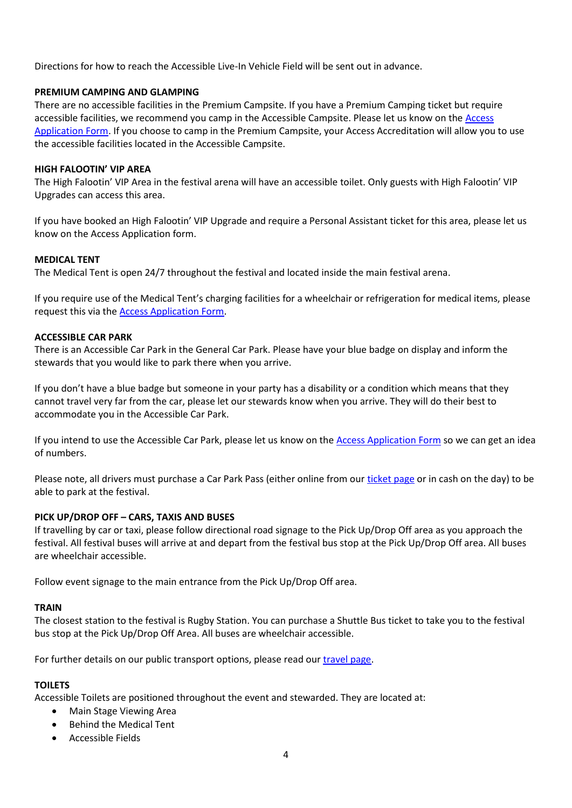Directions for how to reach the Accessible Live-In Vehicle Field will be sent out in advance.

## **PREMIUM CAMPING AND GLAMPING**

There are no accessible facilities in the Premium Campsite. If you have a Premium Camping ticket but require accessible facilities, we recommend you camp in the Accessible Campsite. Please let us know on the [Access](https://docs.google.com/forms/d/e/1FAIpQLSewrcDrLXnUdjRyttyZqNcY_w2dg5gYZCveBxWF4tYt-t510w/viewform)  [Application Form.](https://docs.google.com/forms/d/e/1FAIpQLSewrcDrLXnUdjRyttyZqNcY_w2dg5gYZCveBxWF4tYt-t510w/viewform) If you choose to camp in the Premium Campsite, your Access Accreditation will allow you to use the accessible facilities located in the Accessible Campsite.

## **HIGH FALOOTIN' VIP AREA**

The High Falootin' VIP Area in the festival arena will have an accessible toilet. Only guests with High Falootin' VIP Upgrades can access this area.

If you have booked an High Falootin' VIP Upgrade and require a Personal Assistant ticket for this area, please let us know on the Access Application form.

## **MEDICAL TENT**

The Medical Tent is open 24/7 throughout the festival and located inside the main festival arena.

If you require use of the Medical Tent's charging facilities for a wheelchair or refrigeration for medical items, please request this via the [Access Application Form.](https://docs.google.com/forms/d/e/1FAIpQLSewrcDrLXnUdjRyttyZqNcY_w2dg5gYZCveBxWF4tYt-t510w/viewform)

## **ACCESSIBLE CAR PARK**

There is an Accessible Car Park in the General Car Park. Please have your blue badge on display and inform the stewards that you would like to park there when you arrive.

If you don't have a blue badge but someone in your party has a disability or a condition which means that they cannot travel very far from the car, please let our stewards know when you arrive. They will do their best to accommodate you in the Accessible Car Park.

If you intend to use the Accessible Car Park, please let us know on the [Access Application Form](https://docs.google.com/forms/d/e/1FAIpQLSewrcDrLXnUdjRyttyZqNcY_w2dg5gYZCveBxWF4tYt-t510w/viewform) so we can get an idea of numbers.

Please note, all drivers must purchase a Car Park Pass (either online from our [ticket page](https://www.thelongroad.com/tickets/) or in cash on the day) to be able to park at the festival.

# **PICK UP/DROP OFF – CARS, TAXIS AND BUSES**

If travelling by car or taxi, please follow directional road signage to the Pick Up/Drop Off area as you approach the festival. All festival buses will arrive at and depart from the festival bus stop at the Pick Up/Drop Off area. All buses are wheelchair accessible.

Follow event signage to the main entrance from the Pick Up/Drop Off area.

#### **TRAIN**

The closest station to the festival is Rugby Station. You can purchase a Shuttle Bus ticket to take you to the festival bus stop at the Pick Up/Drop Off Area. All buses are wheelchair accessible.

For further details on our public transport options, please read our [travel page.](https://www.thelongroad.com/information/travel/)

# **TOILETS**

Accessible Toilets are positioned throughout the event and stewarded. They are located at:

- Main Stage Viewing Area
- Behind the Medical Tent
- Accessible Fields